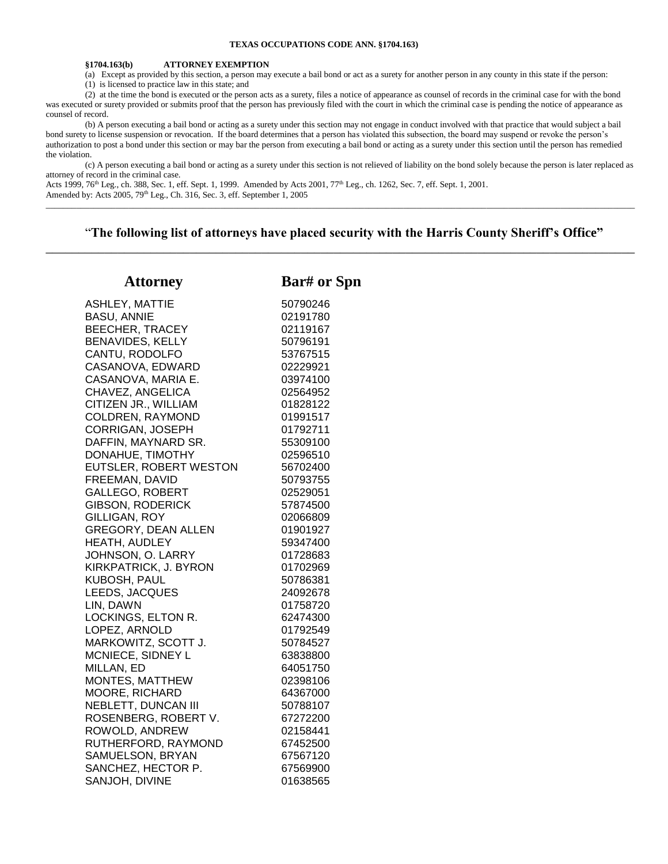### **TEXAS OCCUPATIONS CODE ANN. §1704.163)**

#### **§1704.163(b) ATTORNEY EXEMPTION**

(a) Except as provided by this section, a person may execute a bail bond or act as a surety for another person in any county in this state if the person:

(1) is licensed to practice law in this state; and

(2) at the time the bond is executed or the person acts as a surety, files a notice of appearance as counsel of records in the criminal case for with the bond was executed or surety provided or submits proof that the person has previously filed with the court in which the criminal case is pending the notice of appearance as counsel of record.

(b) A person executing a bail bond or acting as a surety under this section may not engage in conduct involved with that practice that would subject a bail bond surety to license suspension or revocation. If the board determines that a person has violated this subsection, the board may suspend or revoke the person's authorization to post a bond under this section or may bar the person from executing a bail bond or acting as a surety under this section until the person has remedied the violation.

(c) A person executing a bail bond or acting as a surety under this section is not relieved of liability on the bond solely because the person is later replaced as attorney of record in the criminal case.

Acts 1999, 76<sup>th</sup> Leg., ch. 388, Sec. 1, eff. Sept. 1, 1999. Amended by Acts 2001, 77<sup>th</sup> Leg., ch. 1262, Sec. 7, eff. Sept. 1, 2001. Amended by: Acts 2005, 79<sup>th</sup> Leg., Ch. 316, Sec. 3, eff. September 1, 2005 \_\_\_\_\_\_\_\_\_\_\_\_\_\_\_\_\_\_\_\_\_\_\_\_\_\_\_\_\_\_\_\_\_\_\_\_\_\_\_\_\_\_\_\_\_\_\_\_\_\_\_\_\_\_\_\_\_\_\_\_\_\_\_\_\_\_\_\_\_\_\_\_\_\_\_\_\_\_\_\_\_\_\_\_\_\_\_\_\_\_\_\_\_\_\_\_\_\_\_\_\_\_\_\_\_\_\_\_\_\_\_\_\_\_\_\_\_\_\_\_\_\_\_\_\_\_\_\_\_\_\_\_\_\_\_

# "**The following list of attorneys have placed security with the Harris County Sheriff's Office"** \_\_\_\_\_\_\_\_\_\_\_\_\_\_\_\_\_\_\_\_\_\_\_\_\_\_\_\_\_\_\_\_\_\_\_\_\_\_\_\_\_\_\_\_\_\_\_\_\_\_\_\_\_\_\_\_\_\_\_\_\_\_\_\_\_\_\_\_\_\_\_\_\_\_\_\_\_\_\_\_\_\_\_\_\_\_\_\_\_\_

| <b>Attorney</b>            | <b>Bar#</b> or Spn |
|----------------------------|--------------------|
| <b>ASHLEY, MATTIE</b>      | 50790246           |
| <b>BASU, ANNIE</b>         | 02191780           |
| <b>BEECHER, TRACEY</b>     | 02119167           |
| BENAVIDES, KELLY           | 50796191           |
| CANTU, RODOLFO             | 53767515           |
| CASANOVA, EDWARD           | 02229921           |
| CASANOVA, MARIA E.         | 03974100           |
| CHAVEZ, ANGELICA           | 02564952           |
| CITIZEN JR., WILLIAM       | 01828122           |
| <b>COLDREN, RAYMOND</b>    | 01991517           |
| CORRIGAN, JOSEPH           | 01792711           |
| DAFFIN, MAYNARD SR.        | 55309100           |
| DONAHUE, TIMOTHY           | 02596510           |
| EUTSLER, ROBERT WESTON     | 56702400           |
| FREEMAN, DAVID             | 50793755           |
| <b>GALLEGO, ROBERT</b>     | 02529051           |
| <b>GIBSON, RODERICK</b>    | 57874500           |
| GILLIGAN, ROY              | 02066809           |
| GREGORY, DEAN ALLEN        | 01901927           |
| HEATH, AUDLEY              | 59347400           |
| JOHNSON, O. LARRY          | 01728683           |
| KIRKPATRICK, J. BYRON      | 01702969           |
| KUBOSH, PAUL               | 50786381           |
| LEEDS, JACQUES             | 24092678           |
| LIN, DAWN                  | 01758720           |
| LOCKINGS, ELTON R.         | 62474300           |
| LOPEZ, ARNOLD              | 01792549           |
| MARKOWITZ, SCOTT J.        | 50784527           |
| MCNIECE, SIDNEY L          | 63838800           |
| MILLAN, ED                 | 64051750           |
| MONTES, MATTHEW            | 02398106           |
| MOORE, RICHARD             | 64367000           |
| <b>NEBLETT, DUNCAN III</b> | 50788107           |
| ROSENBERG, ROBERT V.       | 67272200           |
| ROWOLD, ANDREW             | 02158441           |
| RUTHERFORD, RAYMOND        | 67452500           |
| SAMUELSON, BRYAN           | 67567120           |
| SANCHEZ, HECTOR P.         | 67569900           |
| SANJOH, DIVINE             | 01638565           |